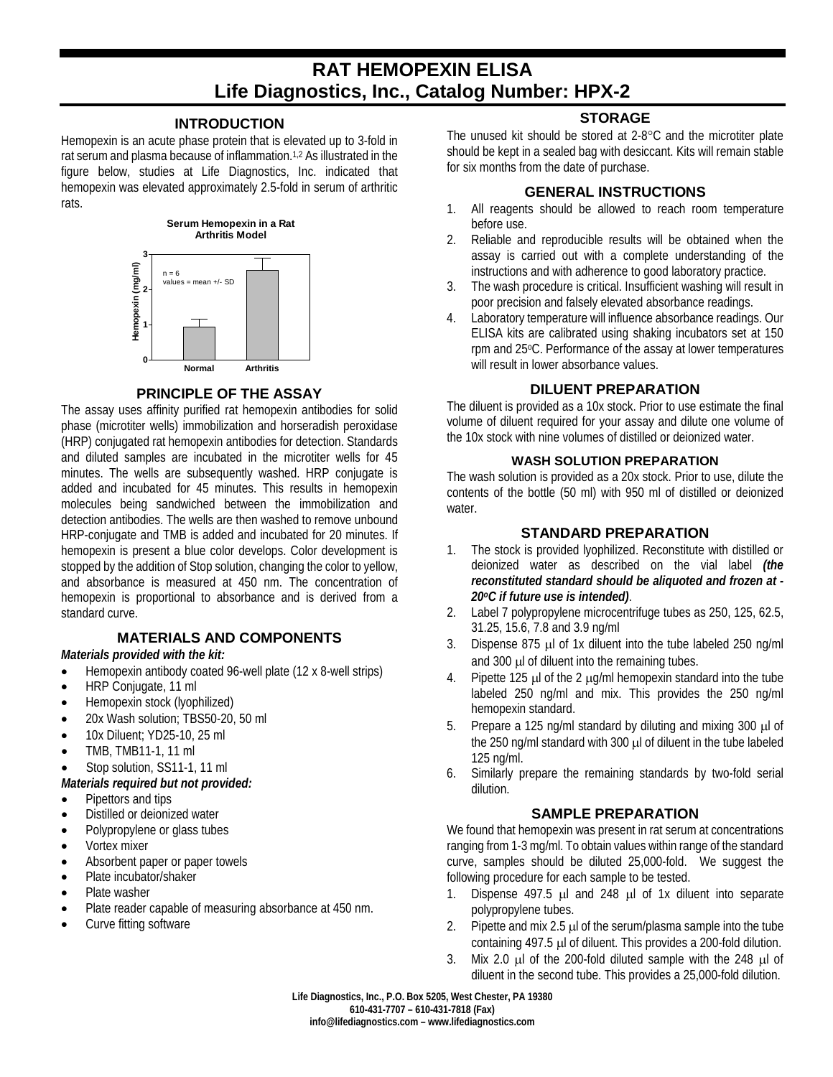# **RAT HEMOPEXIN ELISA Life Diagnostics, Inc., Catalog Number: HPX-2**

#### **INTRODUCTION**

Hemopexin is an acute phase protein that is elevated up to 3-fold in rat serum and plasma because of inflammation. 1,2 As illustrated in the figure below, studies at Life Diagnostics, Inc. indicated that hemopexin was elevated approximately 2.5-fold in serum of arthritic rats.



#### **PRINCIPLE OF THE ASSAY**

The assay uses affinity purified rat hemopexin antibodies for solid phase (microtiter wells) immobilization and horseradish peroxidase (HRP) conjugated rat hemopexin antibodies for detection. Standards and diluted samples are incubated in the microtiter wells for 45 minutes. The wells are subsequently washed. HRP conjugate is added and incubated for 45 minutes. This results in hemopexin molecules being sandwiched between the immobilization and detection antibodies. The wells are then washed to remove unbound HRP-conjugate and TMB is added and incubated for 20 minutes. If hemopexin is present a blue color develops. Color development is stopped by the addition of Stop solution, changing the color to yellow, and absorbance is measured at 450 nm. The concentration of hemopexin is proportional to absorbance and is derived from a standard curve.

# **MATERIALS AND COMPONENTS**

#### *Materials provided with the kit:*

- Hemopexin antibody coated 96-well plate (12 x 8-well strips)
- HRP Conjugate, 11 ml
- Hemopexin stock (lyophilized)
- 20x Wash solution; TBS50-20, 50 ml
- 10x Diluent; YD25-10, 25 ml
- TMB, TMB11-1, 11 ml
- Stop solution, SS11-1, 11 ml

#### *Materials required but not provided:*

- Pipettors and tips
- Distilled or deionized water
- Polypropylene or glass tubes
- Vortex mixer
- Absorbent paper or paper towels
- Plate incubator/shaker
- Plate washer
- Plate reader capable of measuring absorbance at 450 nm.
- Curve fitting software

# **STORAGE**

The unused kit should be stored at 2-8°C and the microtiter plate should be kept in a sealed bag with desiccant. Kits will remain stable for six months from the date of purchase.

# **GENERAL INSTRUCTIONS**

- 1. All reagents should be allowed to reach room temperature before use.
- 2. Reliable and reproducible results will be obtained when the assay is carried out with a complete understanding of the instructions and with adherence to good laboratory practice.
- 3. The wash procedure is critical. Insufficient washing will result in poor precision and falsely elevated absorbance readings.
- 4. Laboratory temperature will influence absorbance readings. Our ELISA kits are calibrated using shaking incubators set at 150 rpm and 25°C. Performance of the assay at lower temperatures will result in lower absorbance values.

# **DILUENT PREPARATION**

The diluent is provided as a 10x stock. Prior to use estimate the final volume of diluent required for your assay and dilute one volume of the 10x stock with nine volumes of distilled or deionized water.

#### **WASH SOLUTION PREPARATION**

The wash solution is provided as a 20x stock. Prior to use, dilute the contents of the bottle (50 ml) with 950 ml of distilled or deionized water.

#### **STANDARD PREPARATION**

- 1. The stock is provided lyophilized. Reconstitute with distilled or deionized water as described on the vial label *(the reconstituted standard should be aliquoted and frozen at - 20oC if future use is intended)*.
- 2. Label 7 polypropylene microcentrifuge tubes as 250, 125, 62.5, 31.25, 15.6, 7.8 and 3.9 ng/ml
- 3. Dispense 875 µl of 1x diluent into the tube labeled 250 ng/ml and 300 µl of diluent into the remaining tubes.
- 4. Pipette 125  $\mu$  of the 2  $\mu$ g/ml hemopexin standard into the tube labeled 250 ng/ml and mix. This provides the 250 ng/ml hemopexin standard.
- 5. Prepare a 125 ng/ml standard by diluting and mixing 300 µl of the 250 ng/ml standard with 300 µl of diluent in the tube labeled 125 ng/ml.
- 6. Similarly prepare the remaining standards by two-fold serial dilution.

# **SAMPLE PREPARATION**

We found that hemopexin was present in rat serum at concentrations ranging from 1-3 mg/ml. To obtain values within range of the standard curve, samples should be diluted 25,000-fold. We suggest the following procedure for each sample to be tested.

- 1. Dispense 497.5 µl and 248 µl of 1x diluent into separate polypropylene tubes.
- 2. Pipette and mix 2.5  $\mu$  of the serum/plasma sample into the tube containing 497.5 µl of diluent. This provides a 200-fold dilution.
- 3. Mix 2.0 µl of the 200-fold diluted sample with the 248 µl of diluent in the second tube. This provides a 25,000-fold dilution.

**Life Diagnostics, Inc., P.O. Box 5205, West Chester, PA 19380 610-431-7707 – 610-431-7818 (Fax) info@lifediagnostics.com – www.lifediagnostics.com**